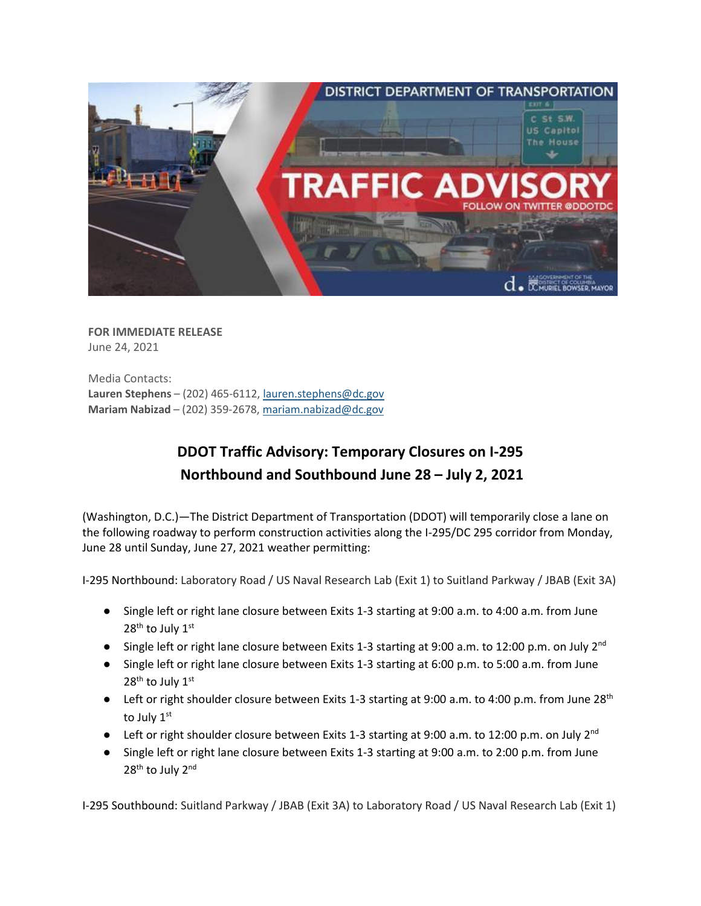

**FOR IMMEDIATE RELEASE** June 24, 2021

Media Contacts: **Lauren Stephens** – (202) 465-6112[, lauren.stephens@dc.gov](mailto:lauren.stephens@dc.gov) **Mariam Nabizad** – (202) 359-2678, [mariam.nabizad@dc.gov](mailto:mariam.nabizad@dc.gov)

## **DDOT Traffic Advisory: Temporary Closures on I-295 Northbound and Southbound June 28 – July 2, 2021**

(Washington, D.C.)—The District Department of Transportation (DDOT) will temporarily close a lane on the following roadway to perform construction activities along the I-295/DC 295 corridor from Monday, June 28 until Sunday, June 27, 2021 weather permitting:

I-295 Northbound: Laboratory Road / US Naval Research Lab (Exit 1) to Suitland Parkway / JBAB (Exit 3A)

- Single left or right lane closure between Exits 1-3 starting at 9:00 a.m. to 4:00 a.m. from June 28<sup>th</sup> to July 1st
- Single left or right lane closure between Exits 1-3 starting at 9:00 a.m. to 12:00 p.m. on July 2<sup>nd</sup>
- Single left or right lane closure between Exits 1-3 starting at 6:00 p.m. to 5:00 a.m. from June 28<sup>th</sup> to July 1st
- Left or right shoulder closure between Exits 1-3 starting at 9:00 a.m. to 4:00 p.m. from June 28<sup>th</sup> to July 1st
- **•** Left or right shoulder closure between Exits 1-3 starting at 9:00 a.m. to 12:00 p.m. on July 2<sup>nd</sup>
- Single left or right lane closure between Exits 1-3 starting at 9:00 a.m. to 2:00 p.m. from June 28<sup>th</sup> to July 2<sup>nd</sup>

I-295 Southbound: Suitland Parkway / JBAB (Exit 3A) to Laboratory Road / US Naval Research Lab (Exit 1)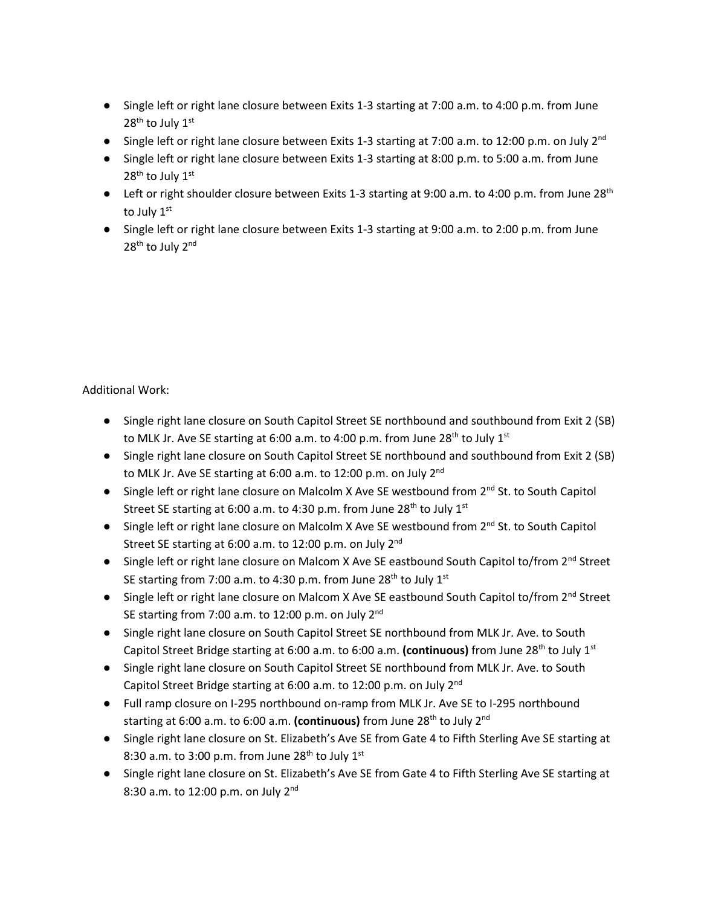- Single left or right lane closure between Exits 1-3 starting at 7:00 a.m. to 4:00 p.m. from June  $28<sup>th</sup>$  to July  $1<sup>st</sup>$
- Single left or right lane closure between Exits 1-3 starting at 7:00 a.m. to 12:00 p.m. on July  $2^{nd}$
- Single left or right lane closure between Exits 1-3 starting at 8:00 p.m. to 5:00 a.m. from June 28<sup>th</sup> to July 1st
- Left or right shoulder closure between Exits 1-3 starting at 9:00 a.m. to 4:00 p.m. from June 28<sup>th</sup> to July 1st
- Single left or right lane closure between Exits 1-3 starting at 9:00 a.m. to 2:00 p.m. from June 28<sup>th</sup> to July 2<sup>nd</sup>

Additional Work:

- Single right lane closure on South Capitol Street SE northbound and southbound from Exit 2 (SB) to MLK Jr. Ave SE starting at 6:00 a.m. to 4:00 p.m. from June 28<sup>th</sup> to July 1<sup>st</sup>
- Single right lane closure on South Capitol Street SE northbound and southbound from Exit 2 (SB) to MLK Jr. Ave SE starting at 6:00 a.m. to 12:00 p.m. on July 2<sup>nd</sup>
- Single left or right lane closure on Malcolm X Ave SE westbound from 2<sup>nd</sup> St. to South Capitol Street SE starting at 6:00 a.m. to 4:30 p.m. from June 28<sup>th</sup> to July 1<sup>st</sup>
- Single left or right lane closure on Malcolm X Ave SE westbound from 2<sup>nd</sup> St. to South Capitol Street SE starting at 6:00 a.m. to 12:00 p.m. on July 2<sup>nd</sup>
- Single left or right lane closure on Malcom X Ave SE eastbound South Capitol to/from 2<sup>nd</sup> Street SE starting from 7:00 a.m. to 4:30 p.m. from June  $28^{th}$  to July  $1^{st}$
- Single left or right lane closure on Malcom X Ave SE eastbound South Capitol to/from 2<sup>nd</sup> Street SE starting from 7:00 a.m. to 12:00 p.m. on July  $2^{nd}$
- Single right lane closure on South Capitol Street SE northbound from MLK Jr. Ave. to South Capitol Street Bridge starting at 6:00 a.m. to 6:00 a.m. **(continuous)** from June 28th to July 1st
- Single right lane closure on South Capitol Street SE northbound from MLK Jr. Ave. to South Capitol Street Bridge starting at 6:00 a.m. to 12:00 p.m. on July 2nd
- Full ramp closure on I-295 northbound on-ramp from MLK Jr. Ave SE to I-295 northbound starting at 6:00 a.m. to 6:00 a.m. (continuous) from June 28<sup>th</sup> to July 2<sup>nd</sup>
- Single right lane closure on St. Elizabeth's Ave SE from Gate 4 to Fifth Sterling Ave SE starting at 8:30 a.m. to 3:00 p.m. from June  $28<sup>th</sup>$  to July  $1<sup>st</sup>$
- Single right lane closure on St. Elizabeth's Ave SE from Gate 4 to Fifth Sterling Ave SE starting at 8:30 a.m. to 12:00 p.m. on July  $2^{nd}$